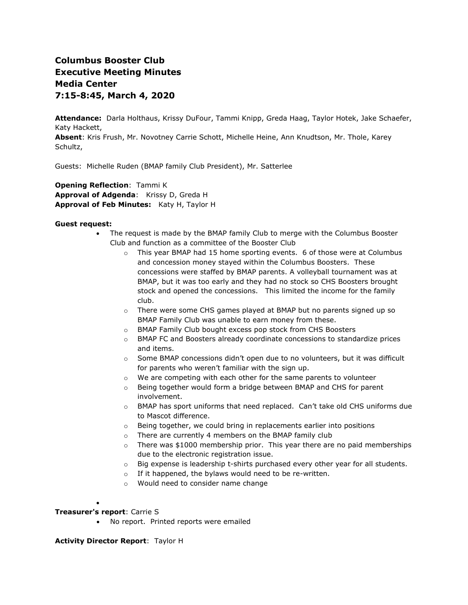# **Columbus Booster Club Executive Meeting Minutes Media Center 7:15-8:45, March 4, 2020**

**Attendance:** Darla Holthaus, Krissy DuFour, Tammi Knipp, Greda Haag, Taylor Hotek, Jake Schaefer, Katy Hackett,

**Absent**: Kris Frush, Mr. Novotney Carrie Schott, Michelle Heine, Ann Knudtson, Mr. Thole, Karey Schultz,

Guests: Michelle Ruden (BMAP family Club President), Mr. Satterlee

**Opening Reflection**: Tammi K **Approval of Adgenda**: Krissy D, Greda H **Approval of Feb Minutes:** Katy H, Taylor H

### **Guest request:**

- The request is made by the BMAP family Club to merge with the Columbus Booster Club and function as a committee of the Booster Club
	- o This year BMAP had 15 home sporting events. 6 of those were at Columbus and concession money stayed within the Columbus Boosters. These concessions were staffed by BMAP parents. A volleyball tournament was at BMAP, but it was too early and they had no stock so CHS Boosters brought stock and opened the concessions. This limited the income for the family club.
	- $\circ$  There were some CHS games played at BMAP but no parents signed up so BMAP Family Club was unable to earn money from these.
	- o BMAP Family Club bought excess pop stock from CHS Boosters
	- o BMAP FC and Boosters already coordinate concessions to standardize prices and items.
	- $\circ$  Some BMAP concessions didn't open due to no volunteers, but it was difficult for parents who weren't familiar with the sign up.
	- o We are competing with each other for the same parents to volunteer
	- o Being together would form a bridge between BMAP and CHS for parent involvement.
	- $\circ$  BMAP has sport uniforms that need replaced. Can't take old CHS uniforms due to Mascot difference.
	- $\circ$  Being together, we could bring in replacements earlier into positions
	- o There are currently 4 members on the BMAP family club
	- $\circ$  There was \$1000 membership prior. This year there are no paid memberships due to the electronic registration issue.
	- $\circ$  Big expense is leadership t-shirts purchased every other year for all students.
	- o If it happened, the bylaws would need to be re-written.
	- o Would need to consider name change

### **Treasurer's report**: Carrie S

•

• No report. Printed reports were emailed

### **Activity Director Report**: Taylor H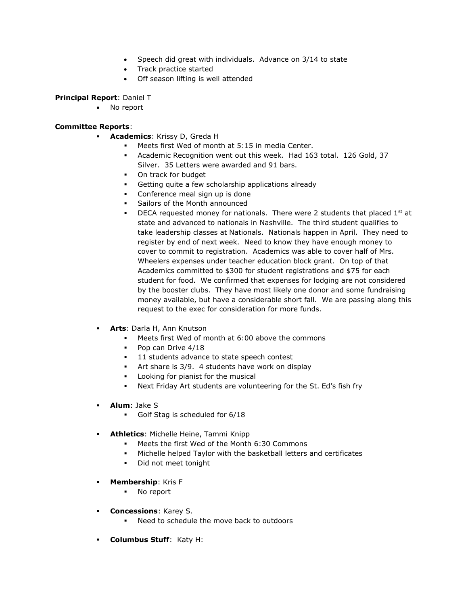- Speech did great with individuals. Advance on 3/14 to state
- Track practice started
- Off season lifting is well attended

### **Principal Report**: Daniel T

• No report

## **Committee Reports**:

- **Academics**: Krissy D, Greda H
	- Meets first Wed of month at 5:15 in media Center.
	- Academic Recognition went out this week. Had 163 total. 126 Gold, 37 Silver. 35 Letters were awarded and 91 bars.
	- On track for budget
	- Getting quite a few scholarship applications already
	- Conference meal sign up is done
	- Sailors of the Month announced
	- DECA requested money for nationals. There were 2 students that placed  $1^{st}$  at state and advanced to nationals in Nashville. The third student qualifies to take leadership classes at Nationals. Nationals happen in April. They need to register by end of next week. Need to know they have enough money to cover to commit to registration. Academics was able to cover half of Mrs. Wheelers expenses under teacher education block grant. On top of that Academics committed to \$300 for student registrations and \$75 for each student for food. We confirmed that expenses for lodging are not considered by the booster clubs. They have most likely one donor and some fundraising money available, but have a considerable short fall. We are passing along this request to the exec for consideration for more funds.
- Arts: Darla H, Ann Knutson
	- Meets first Wed of month at 6:00 above the commons
	- Pop can Drive 4/18
	- 11 students advance to state speech contest
	- Art share is 3/9. 4 students have work on display
	- Looking for pianist for the musical
	- Next Friday Art students are volunteering for the St. Ed's fish fry
- **Alum**: Jake S
	- Golf Stag is scheduled for 6/18
- **Athletics**: Michelle Heine, Tammi Knipp
	- Meets the first Wed of the Month 6:30 Commons
	- Michelle helped Taylor with the basketball letters and certificates
	- Did not meet tonight
- **Membership: Kris F** 
	- No report
- **Concessions**: Karey S.
	- Need to schedule the move back to outdoors
- **Columbus Stuff**: Katy H: